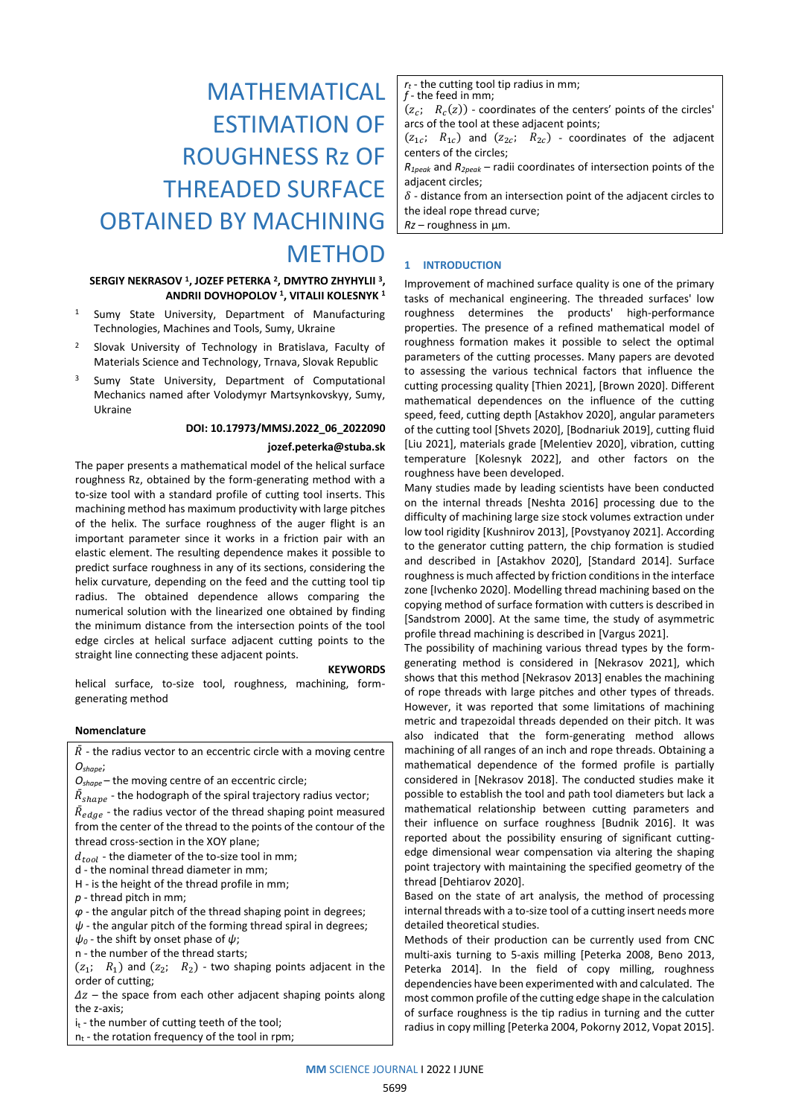# MATHEMATICAL ESTIMATION OF ROUGHNESS Rz OF THREADED SURFACE OBTAINED BY MACHINING **METHOD**

# **SERGIY NEKRASOV <sup>1</sup> , JOZEF PETERKA <sup>2</sup> , DMYTRO ZHYHYLII <sup>3</sup> , ANDRII DOVHOPOLOV <sup>1</sup> , VITALII KOLESNYK <sup>1</sup>**

- <sup>1</sup> Sumy State University, Department of Manufacturing Technologies, Machines and Tools, Sumy, Ukraine
- Slovak University of Technology in Bratislava, Faculty of Materials Science and Technology, Trnava, Slovak Republic
- <sup>3</sup> Sumy State University, Department of Computational Mechanics named after Volodymyr Martsynkovskyy, Sumy, Ukraine

# **DOI: 10.17973/MMSJ.2022\_06\_2022090**

#### **jozef.peterka@stuba.sk**

The paper presents a mathematical model of the helical surface roughness Rz, obtained by the form-generating method with a to-size tool with a standard profile of cutting tool inserts. This machining method has maximum productivity with large pitches of the helix. The surface roughness of the auger flight is an important parameter since it works in a friction pair with an elastic element. The resulting dependence makes it possible to predict surface roughness in any of its sections, considering the helix curvature, depending on the feed and the cutting tool tip radius. The obtained dependence allows comparing the numerical solution with the linearized one obtained by finding the minimum distance from the intersection points of the tool edge circles at helical surface adjacent cutting points to the straight line connecting these adjacent points.

#### **KEYWORDS**

helical surface, to-size tool, roughness, machining, formgenerating method

#### **Nomenclature**

 $\overline{R}$  - the radius vector to an eccentric circle with a moving centre *Оshape*;

*Оshape* – the moving centre of an eccentric circle;

 $\bar{R}_{shape}$  - the hodograph of the spiral trajectory radius vector;

 $\bar{R}_{edge}$  - the radius vector of the thread shaping point measured from the center of the thread to the points of the contour of the thread cross-section in the XOY plane;

 $d_{tool}$  - the diameter of the to-size tool in mm;

d - the nominal thread diameter in mm;

H - is the height of the thread profile in mm;

*p* - thread pitch in mm;

*φ* - the angular pitch of the thread shaping point in degrees;

*ψ* - the angular pitch of the forming thread spiral in degrees;

*ψ<sup>0</sup>* - the shift by onset phase of *ψ*;

n - the number of the thread starts;

 $(z_1; R_1)$  and  $(z_2; R_2)$  - two shaping points adjacent in the order of cutting;

 $\Delta z$  – the space from each other adjacent shaping points along the z-axis;

i<sub>t</sub> - the number of cutting teeth of the tool;

 $n_t$  - the rotation frequency of the tool in rpm;

*r<sup>t</sup>* - the cutting tool tip radius in mm;

*f* - the feed in mm;  $(z_c; R_c(z))$  - coordinates of the centers' points of the circles' arcs of the tool at these adjacent points;

 $(z_{1c}; R_{1c})$  and  $(z_{2c}; R_{2c})$  - coordinates of the adjacent centers of the circles;

*R1peak* and *R2peak* – radii coordinates of intersection points of the adjacent circles;

 $\delta$  - distance from an intersection point of the adjacent circles to the ideal rope thread curve;

*Rz* – roughness in μm.

# **1 INTRODUCTION**

Improvement of machined surface quality is one of the primary tasks of mechanical engineering. The threaded surfaces' low roughness determines the products' high-performance properties. The presence of a refined mathematical model of roughness formation makes it possible to select the optimal parameters of the cutting processes. Many papers are devoted to assessing the various technical factors that influence the cutting processing quality [Thien 2021], [Brown 2020]. Different mathematical dependences on the influence of the cutting speed, feed, cutting depth [Astakhov 2020], angular parameters of the cutting tool [Shvets 2020], [Bodnariuk 2019], cutting fluid [Liu 2021], materials grade [Melentiev 2020], vibration, cutting temperature [Kolesnyk 2022], and other factors on the roughness have been developed.

Many studies made by leading scientists have been conducted on the internal threads [Neshta 2016] processing due to the difficulty of machining large size stock volumes extraction under low tool rigidity [Kushnirov 2013], [Povstyanoy 2021]. According to the generator cutting pattern, the chip formation is studied and described in [Astakhov 2020], [Standard 2014]. Surface roughness is much affected by friction conditions in the interface zone [Ivchenko 2020]. Modelling thread machining based on the copying method of surface formation with cutters is described in [Sandstrom 2000]. At the same time, the study of asymmetric profile thread machining is described in [Vargus 2021].

The possibility of machining various thread types by the formgenerating method is considered in [Nekrasov 2021], which shows that this method [Nekrasov 2013] enables the machining of rope threads with large pitches and other types of threads. However, it was reported that some limitations of machining metric and trapezoidal threads depended on their pitch. It was also indicated that the form-generating method allows machining of all ranges of an inch and rope threads. Obtaining a mathematical dependence of the formed profile is partially considered in [Nekrasov 2018]. The conducted studies make it possible to establish the tool and path tool diameters but lack a mathematical relationship between cutting parameters and their influence on surface roughness [Budnik 2016]. It was reported about the possibility ensuring of significant cuttingedge dimensional wear compensation via altering the shaping point trajectory with maintaining the specified geometry of the thread [Dehtiarov 2020].

Based on the state of art analysis, the method of processing internal threads with a to-size tool of a cutting insert needs more detailed theoretical studies.

Methods of their production can be currently used from CNC multi-axis turning to 5-axis milling [Peterka 2008, Beno 2013, Peterka 2014]. In the field of copy milling, roughness dependencies have been experimented with and calculated. The most common profile of the cutting edge shape in the calculation of surface roughness is the tip radius in turning and the cutter radius in copy milling [Peterka 2004, Pokorny 2012, Vopat 2015].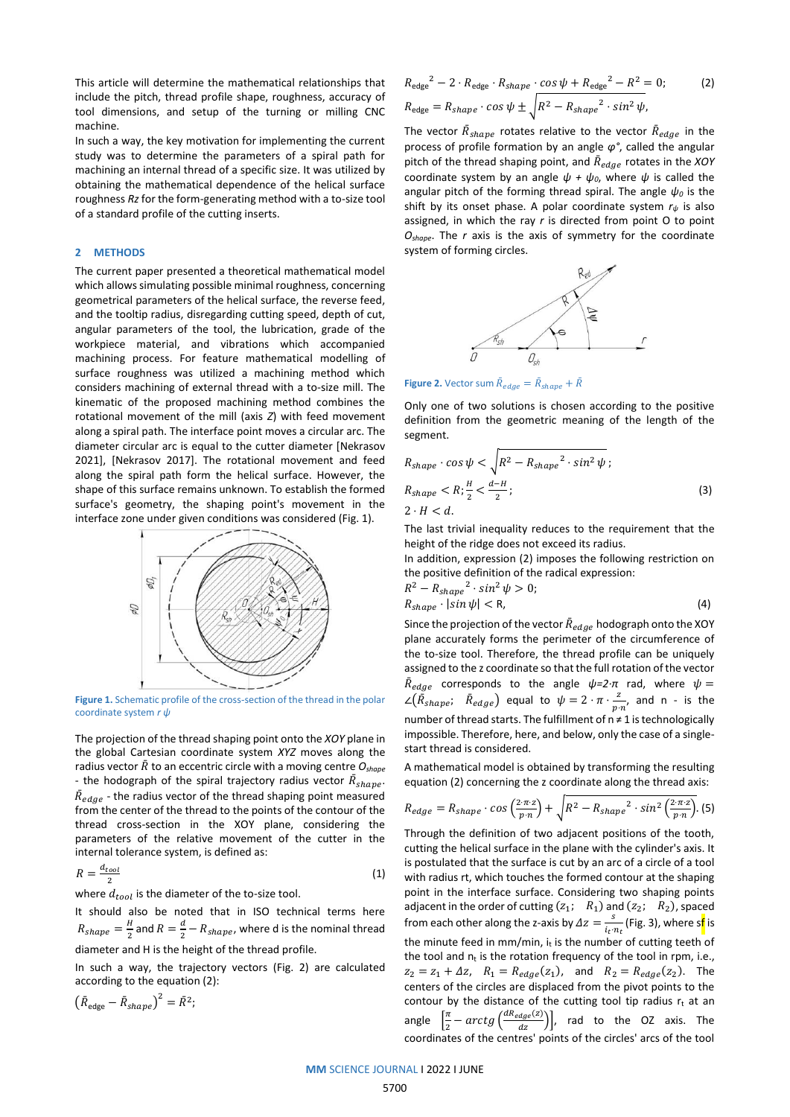This article will determine the mathematical relationships that include the pitch, thread profile shape, roughness, accuracy of tool dimensions, and setup of the turning or milling CNC machine.

In such a way, the key motivation for implementing the current study was to determine the parameters of a spiral path for machining an internal thread of a specific size. It was utilized by obtaining the mathematical dependence of the helical surface roughness *Rz* for the form-generating method with a to-size tool of a standard profile of the cutting inserts.

# **2 METHODS**

The current paper presented a theoretical mathematical model which allows simulating possible minimal roughness, concerning geometrical parameters of the helical surface, the reverse feed, and the tooltip radius, disregarding cutting speed, depth of cut, angular parameters of the tool, the lubrication, grade of the workpiece material, and vibrations which accompanied machining process. For feature mathematical modelling of surface roughness was utilized a machining method which considers machining of external thread with a to-size mill. The kinematic of the proposed machining method combines the rotational movement of the mill (axis *Z*) with feed movement along a spiral path. The interface point moves a circular arc. The diameter circular arc is equal to the cutter diameter [Nekrasov 2021], [Nekrasov 2017]. The rotational movement and feed along the spiral path form the helical surface. However, the shape of this surface remains unknown. To establish the formed surface's geometry, the shaping point's movement in the interface zone under given conditions was considered (Fig. 1).



Figure 1. Schematic profile of the cross-section of the thread in the polar coordinate system *r ψ*

The projection of the thread shaping point onto the *XOY* plane in the global Cartesian coordinate system *XYZ* moves along the radius vector  $\overline{R}$  to an eccentric circle with a moving centre  $O_{shape}$ - the hodograph of the spiral trajectory radius vector  $\bar{R}_{shape}$ .  $\bar{R}_{edge}$  - the radius vector of the thread shaping point measured from the center of the thread to the points of the contour of the thread cross-section in the XOY plane, considering the parameters of the relative movement of the cutter in the internal tolerance system, is defined as:

$$
R = \frac{d_{tool}}{2} \tag{1}
$$

where  $d_{tool}$  is the diameter of the to-size tool.

It should also be noted that in ISO technical terms here  $R_{shape} = \frac{H}{2}$  $\frac{H}{2}$  and  $R = \frac{d}{2}$  $\frac{u}{2}$  –  $R_{shape}$ , where d is the nominal thread diameter and H is the height of the thread profile.

In such a way, the trajectory vectors (Fig. 2) are calculated according to the equation (2):

 $\left(\bar{R}_{\text{edge}} - \bar{R}_{shape}\right)^2 = \bar{R}^2;$ 

$$
R_{\text{edge}}^2 - 2 \cdot R_{\text{edge}} \cdot R_{\text{shape}} \cdot \cos \psi + R_{\text{edge}}^2 - R^2 = 0; \tag{2}
$$
  

$$
R_{\text{edge}} = R_{\text{shape}} \cdot \cos \psi \pm \sqrt{R^2 - R_{\text{shape}}^2 \cdot \sin^2 \psi},
$$

The vector  $\bar{R}_{shape}$  rotates relative to the vector  $\bar{R}_{edge}$  in the process of profile formation by an angle *φ°*, called the angular pitch of the thread shaping point, and  $\bar{R}_{edge}$  rotates in the *XOY* coordinate system by an angle  $\psi + \psi_0$ , where  $\psi$  is called the angular pitch of the forming thread spiral. The angle *ψ<sup>0</sup>* is the shift by its onset phase. A polar coordinate system *r<sup>ψ</sup>* is also assigned, in which the ray *r* is directed from point O to point *Oshape*. The *r* axis is the axis of symmetry for the coordinate system of forming circles.



**Figure 2.** Vector sum  $\bar{R}_{edge} = \bar{R}_{shape} + \bar{R}$ 

Only one of two solutions is chosen according to the positive definition from the geometric meaning of the length of the segment.

$$
R_{shape} \cdot \cos \psi < \sqrt{R^2 - R_{shape}^2 \cdot \sin^2 \psi};
$$
\n
$$
R_{shape} < R; \frac{H}{2} < \frac{d-H}{2};
$$
\n
$$
2 \cdot H < d.
$$
\n
$$
(3)
$$

The last trivial inequality reduces to the requirement that the height of the ridge does not exceed its radius.

In addition, expression (2) imposes the following restriction on the positive definition of the radical expression:

$$
R^2 - R_{shape}^2 \cdot \sin^2 \psi > 0;
$$
  
\n
$$
R_{shape} \cdot |\sin \psi| < R,
$$
 (4)

Since the projection of the vector  $\bar{R}_{edge}$  hodograph onto the XOY plane accurately forms the perimeter of the circumference of the to-size tool. Therefore, the thread profile can be uniquely assigned to the z coordinate so that the full rotation of the vector  $\bar{R}_{edge}$  corresponds to the angle  $\psi = 2 \cdot \pi$  rad, where  $\psi =$  $\angle(\tilde{R}_{shape}; \quad \tilde{R}_{edge})$  equal to  $\psi = 2 \cdot \pi \cdot \frac{2}{n}$  $\frac{2}{p \cdot n'}$  and n - is the number of thread starts. The fulfillment of n ≠ 1 is technologically impossible. Therefore, here, and below, only the case of a singlestart thread is considered.

A mathematical model is obtained by transforming the resulting equation (2) concerning the z coordinate along the thread axis:

$$
R_{edge} = R_{shape} \cdot \cos\left(\frac{2 \cdot \pi \cdot z}{p \cdot n}\right) + \sqrt{R^2 - R_{shape}^2 \cdot \sin^2\left(\frac{2 \cdot \pi \cdot z}{p \cdot n}\right)}.
$$
(5)

Through the definition of two adjacent positions of the tooth, cutting the helical surface in the plane with the cylinder's axis. It is postulated that the surface is cut by an arc of a circle of a tool with radius rt, which touches the formed contour at the shaping point in the interface surface. Considering two shaping points adjacent in the order of cutting  $(z_1; R_1)$  and  $(z_2; R_2)$ , spaced from each other along the z-axis by  $\Delta z = \frac{s}{\Delta z}$  $\frac{s}{i_{t}\cdot n_{t}}$  (Fig. 3), where s<mark>f</mark> is the minute feed in mm/min,  $i_t$  is the number of cutting teeth of the tool and  $n_t$  is the rotation frequency of the tool in rpm, i.e.,  $z_2 = z_1 + \Delta z$ ,  $R_1 = R_{edge}(z_1)$ , and  $R_2 = R_{edge}(z_2)$ . The centers of the circles are displaced from the pivot points to the contour by the distance of the cutting tool tip radius  $r_t$  at an angle  $\left[\frac{\pi}{2}\right]$  $\frac{\pi}{2} - arctg\left(\frac{dR_{edge}(z)}{dz}\right)\right]$ , rad to the OZ axis. The coordinates of the centres' points of the circles' arcs of the tool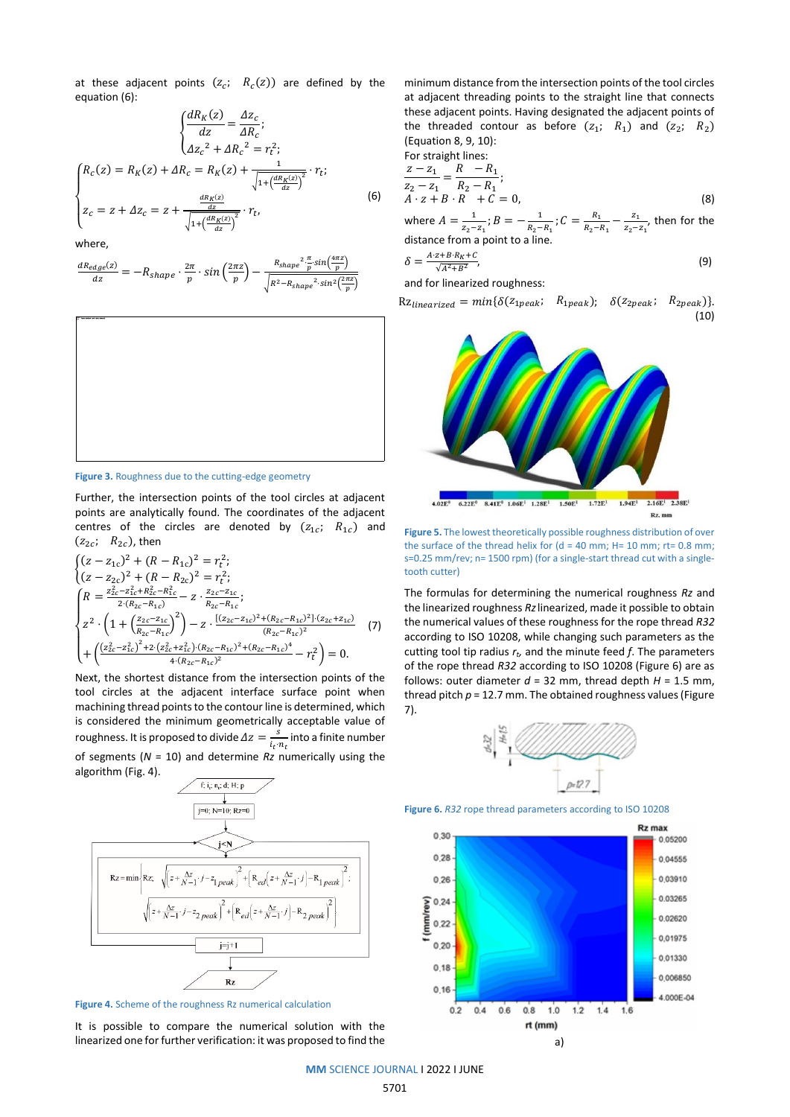at these adjacent points  $(z_c; R_c(z))$  are defined by the equation (6):

$$
\begin{cases}\n\frac{dR_K(z)}{dz} = \frac{\Delta z_c}{\Delta R_c};\\ \Delta z_c^2 + \Delta R_c^2 = r_t^2;\\
\int R_c(z) = R_K(z) + \Delta R_c = R_K(z) + \frac{1}{\sqrt{1 + (\frac{dR_K(z)}{dz})^2}} \cdot r_t;\\
z_c = z + \Delta z_c = z + \frac{\frac{dR_K(z)}{dz}}{\sqrt{1 + (\frac{dR_K(z)}{dz})^2}} \cdot r_t,\n\end{cases}
$$
\n(6)

where,

$$
\frac{dR_{edge}(z)}{dz} = -R_{shape} \cdot \frac{2\pi}{p} \cdot \sin\left(\frac{2\pi z}{p}\right) - \frac{R_{shape} \cdot \frac{\pi}{p} \sin\left(\frac{4\pi z}{p}\right)}{\sqrt{R^2 - R_{shape}^2 \cdot \sin^2\left(\frac{2\pi z}{p}\right)}}
$$



**Figure 3.** Roughness due to the cutting-edge geometry

Further, the intersection points of the tool circles at adjacent points are analytically found. The coordinates of the adjacent centres of the circles are denoted by  $(z_{1c}; R_{1c})$  and  $(z_{2c}; R_{2c})$ , then

$$
\begin{cases}\n(z - z_{1c})^2 + (R - R_{1c})^2 = r_t^2; \\
(z - z_{2c})^2 + (R - R_{2c})^2 = r_t^2; \\
R = \frac{z_{2c}^2 - z_{1c}^2 + R_{2c}^2 - R_{1c}^2}{2(R_{2c} - R_{1c})} - z \cdot \frac{z_{2c} - z_{1c}}{R_{2c} - R_{1c}}; \\
z^2 \cdot \left(1 + \left(\frac{z_{2c} - z_{1c}}{R_{2c} - R_{1c}}\right)^2\right) - z \cdot \frac{[(z_{2c} - z_{1c})^2 + (R_{2c} - R_{1c})^2] \cdot (z_{2c} + z_{1c})}{(R_{2c} - R_{1c})^2} \\
+ \left(\frac{(z_{2c}^2 - z_{1c}^2)^2 + 2 \cdot (z_{2c}^2 + z_{1c}^2) \cdot (R_{2c} - R_{1c})^2 + (R_{2c} - R_{1c})^4}{4 \cdot (R_{2c} - R_{1c})^2} - r_t^2\right) = 0.\n\end{cases}
$$

Next, the shortest distance from the intersection points of the tool circles at the adjacent interface surface point when machining thread points to the contour line is determined, which is considered the minimum geometrically acceptable value of roughness. It is proposed to divide  $\Delta z = \frac{s}{\Delta z}$  $\frac{s}{i_t \cdot n_t}$  into a finite number

of segments (*N* = 10) and determine *Rz* numerically using the algorithm (Fig. 4).



**Figure 4.** Scheme of the roughness Rz numerical calculation

It is possible to compare the numerical solution with the linearized one for further verification: it was proposed to find the minimum distance from the intersection points of the tool circles at adjacent threading points to the straight line that connects these adjacent points. Having designated the adjacent points of the threaded contour as before  $(z_1; R_1)$  and  $(z_2; R_2)$ (Equation 8, 9, 10): For straight lines:

For straight lines.  
\n
$$
\frac{z - z_1}{z_2 - z_1} = \frac{R - R_1}{R_2 - R_1};
$$
\n
$$
A \cdot z + B \cdot R + C = 0,
$$
\n(8)

where  $A=\frac{1}{a}$  $\frac{1}{z_2-z_1}$ ;  $B=-\frac{1}{R_2-z_1}$  $\frac{1}{R_2-R_1}$ ;  $C = \frac{R_1}{R_2-R_1}$  $\frac{R_1}{R_2-R_1} - \frac{z_1}{z_2-}$  $\frac{z_1}{z_2-z_1}$ , then for the distance from a point to a line.

$$
\delta = \frac{A \cdot z + B \cdot R_K + C}{\sqrt{A^2 + B^2}},\tag{9}
$$

and for linearized roughness:

 $Rz_{linearized} = min\{\delta(z_{1peak}; R_{1peak}); \delta(z_{2peak}; R_{2peak})\}.$ (10)



**Figure 5.** The lowest theoretically possible roughness distribution of over the surface of the thread helix for  $(d = 40$  mm; H= 10 mm; rt= 0.8 mm; s=0.25 mm/rev; n= 1500 rpm) (for a single-start thread cut with a singletooth cutter)

The formulas for determining the numerical roughness *Rz* and the linearized roughness *Rz*linearized, made it possible to obtain the numerical values of these roughness for the rope thread *R32* according to ISO 10208, while changing such parameters as the cutting tool tip radius *rt,* and the minute feed *f*. The parameters of the rope thread *R32* according to ISO 10208 (Figure 6) are as follows: outer diameter  $d = 32$  mm, thread depth  $H = 1.5$  mm, thread pitch *p* = 12.7 mm. The obtained roughness values (Figure 7).



**Figure 6.** *R32* rope thread parameters according to ISO 10208



**MM** SCIENCE JOURNAL I 2022 I JUNE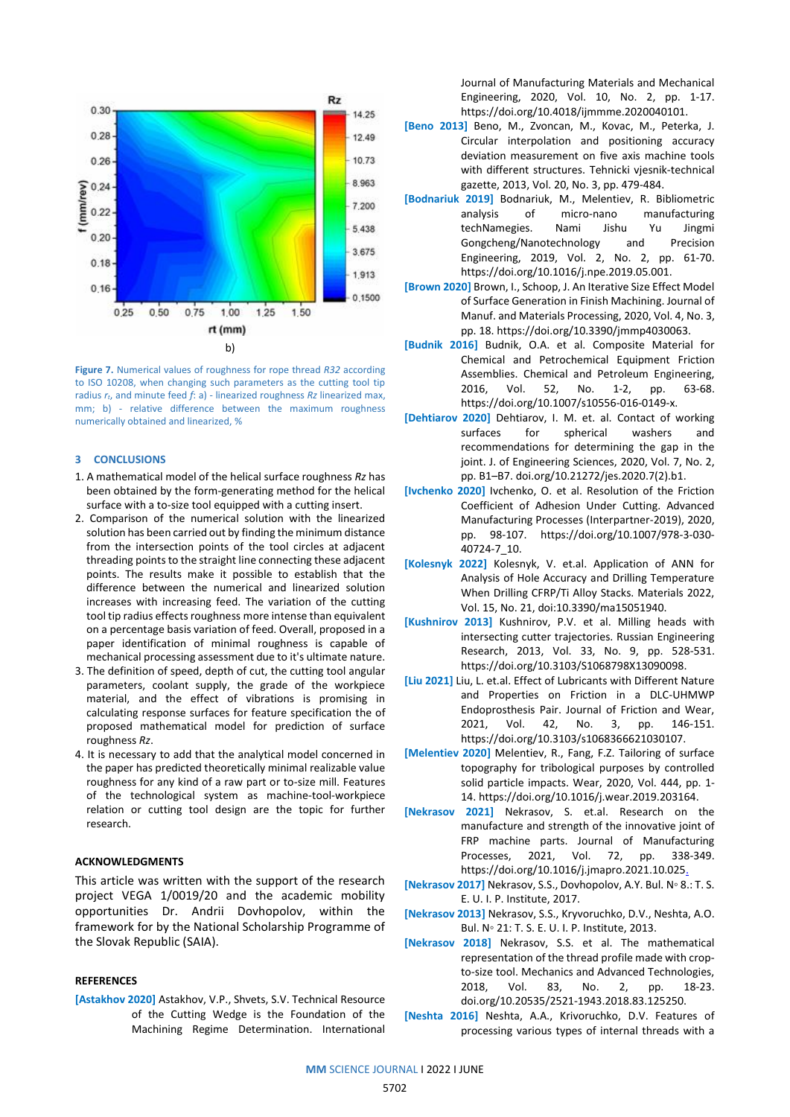

**Figure 7.** Numerical values of roughness for rope thread *R32* according to ISO 10208, when changing such parameters as the cutting tool tip radius *rt*, and minute feed *f*: a) - linearized roughness *Rz* linearized max, mm; b) - relative difference between the maximum roughness numerically obtained and linearized, %

### **3 CONCLUSIONS**

- 1. A mathematical model of the helical surface roughness *Rz* has been obtained by the form-generating method for the helical surface with a to-size tool equipped with a cutting insert.
- 2. Comparison of the numerical solution with the linearized solution has been carried out by finding the minimum distance from the intersection points of the tool circles at adjacent threading points to the straight line connecting these adjacent points. The results make it possible to establish that the difference between the numerical and linearized solution increases with increasing feed. The variation of the cutting tool tip radius effects roughness more intense than equivalent on a percentage basis variation of feed. Overall, proposed in a paper identification of minimal roughness is capable of mechanical processing assessment due to it's ultimate nature.
- 3. The definition of speed, depth of cut, the cutting tool angular parameters, coolant supply, the grade of the workpiece material, and the effect of vibrations is promising in calculating response surfaces for feature specification the of proposed mathematical model for prediction of surface roughness *Rz*.
- 4. It is necessary to add that the analytical model concerned in the paper has predicted theoretically minimal realizable value roughness for any kind of a raw part or to-size mill. Features of the technological system as machine-tool-workpiece relation or cutting tool design are the topic for further research.

# **ACKNOWLEDGMENTS**

This article was written with the support of the research project VEGA 1/0019/20 and the academic mobility opportunities Dr. Andrii Dovhopolov, within the framework for by the National Scholarship Programme of the Slovak Republic (SAIA).

# **REFERENCES**

**[Astakhov 2020]** Astakhov, V.P., Shvets, S.V. Technical Resource of the Cutting Wedge is the Foundation of the Machining Regime Determination. International Journal of Manufacturing Materials and Mechanical Engineering, 2020, Vol. 10, No. 2, pp. 1-17. [https://doi.org/10.4018/ijmmme.2020040101.](https://doi.org/10.4018/ijmmme.2020040101)

- **[Beno 2013]** Beno, M., Zvoncan, M., Kovac, M., Peterka, J. Circular interpolation and positioning accuracy deviation measurement on five axis machine tools with different structures. Tehnicki vjesnik-technical gazette, 2013, Vol. 20, No. 3, pp. 479-484.
- **[Bodnariuk 2019]** Bodnariuk, M., Melentiev, R. Bibliometric analysis of micro-nano manufacturing techNamegies. Nami Jishu Yu Jingmi Gongcheng/Nanotechnology and Precision Engineering, 2019, Vol. 2, No. 2, pp. 61-70. [https://doi.org/10.1016/j.npe.2019.05.001.](https://doi.org/10.1016/j.npe.2019.05.001)
- **[Brown 2020]** Brown, I., Schoop, J. An Iterative Size Effect Model of Surface Generation in Finish Machining. Journal of Manuf. and Materials Processing, 2020, Vol. 4, No. 3, pp. 18[. https://doi.org/10.3390/jmmp4030063.](https://doi.org/10.3390/jmmp4030063)
- **[Budnik 2016]** Budnik, O.A. et al. Composite Material for Chemical and Petrochemical Equipment Friction Assemblies. Chemical and Petroleum Engineering, 2016, Vol. 52, No. 1-2, pp. 63-68. [https://doi.org/10.1007/s10556-016-0149-x.](https://doi.org/10.1007/s10556-016-0149-x)
- **[Dehtiarov 2020]** Dehtiarov, I. M. et. al. Contact of working surfaces for spherical washers and recommendations for determining the gap in the joint. J. of Engineering Sciences, 2020, Vol. 7, No. 2, pp. B1–B7[. doi.org/10.21272/jes.2020.7\(2\).b1.](https://doi.org/10.21272/jes.2020.7(2).b1)
- **[Ivchenko 2020]** Ivchenko, O. et al. Resolution of the Friction Coefficient of Adhesion Under Cutting. Advanced Manufacturing Processes (Interpartner-2019), 2020, pp. 98-107. [https://doi.org/10.1007/978-3-030-](https://doi.org/10.1007/978-3-030-40724-7_10) [40724-7\\_10.](https://doi.org/10.1007/978-3-030-40724-7_10)
- **[Kolesnyk 2022]** Kolesnyk, V. et.al. Application of ANN for Analysis of Hole Accuracy and Drilling Temperature When Drilling CFRP/Ti Alloy Stacks. Materials 2022, Vol. 15, No. 21, doi:10.3390/ma15051940.
- **[Kushnirov 2013]** Kushnirov, P.V. et al. Milling heads with intersecting cutter trajectories. Russian Engineering Research, 2013, Vol. 33, No. 9, pp. 528-531. [https://doi.org/10.3103/S1068798X13090098.](https://doi.org/10.3103/S1068798X13090098)
- **[Liu 2021]** Liu, L. et.al. Effect of Lubricants with Different Nature and Properties on Friction in a DLC-UHMWP Endoprosthesis Pair. Journal of Friction and Wear, 2021, Vol. 42, No. 3, pp. 146-151. [https://doi.org/10.3103/s1068366621030107.](https://doi.org/10.3103/s1068366621030107)
- **[Melentiev 2020]** Melentiev, R., Fang, F.Z. Tailoring of surface topography for tribological purposes by controlled solid particle impacts. Wear, 2020, Vol. 444, pp. 1- 14[. https://doi.org/10.1016/j.wear.2019.203164.](https://doi.org/10.1016/j.wear.2019.203164)
- **[Nekrasov 2021]** Nekrasov, S. et.al. Research on the manufacture and strength of the innovative joint of FRP machine parts. Journal of Manufacturing Processes, 2021, Vol. 72, pp. 338-349. [https://doi.org/10.1016/j.jmapro.2021.10.025.](https://doi.org/10.1016/j.jmapro.2021.10.025)
- **[Nekrasov 2017]** Nekrasov, S.S., Dovhopolov, A.Y. Bul. N◦ 8.: T. S. E. U. I. P. Institute, 2017.
- **[Nekrasov 2013]** Nekrasov, S.S., Kryvoruchko, D.V., Neshta, A.O. Bul. N◦ 21: T. S. E. U. I. P. Institute, 2013.
- **[Nekrasov 2018]** Nekrasov, S.S. et al. The mathematical representation of the thread profile made with cropto-size tool. Mechanics and Advanced Technologies, 2018, Vol. 83, No. 2, pp. 18-23. [doi.org/10.20535/2521-1943.2018.83.125250.](https://doi.org/10.20535/2521-1943.2018.83.125250)
- **[Neshta 2016]** Neshta, A.A., Krivoruchko, D.V. Features of processing various types of internal threads with a